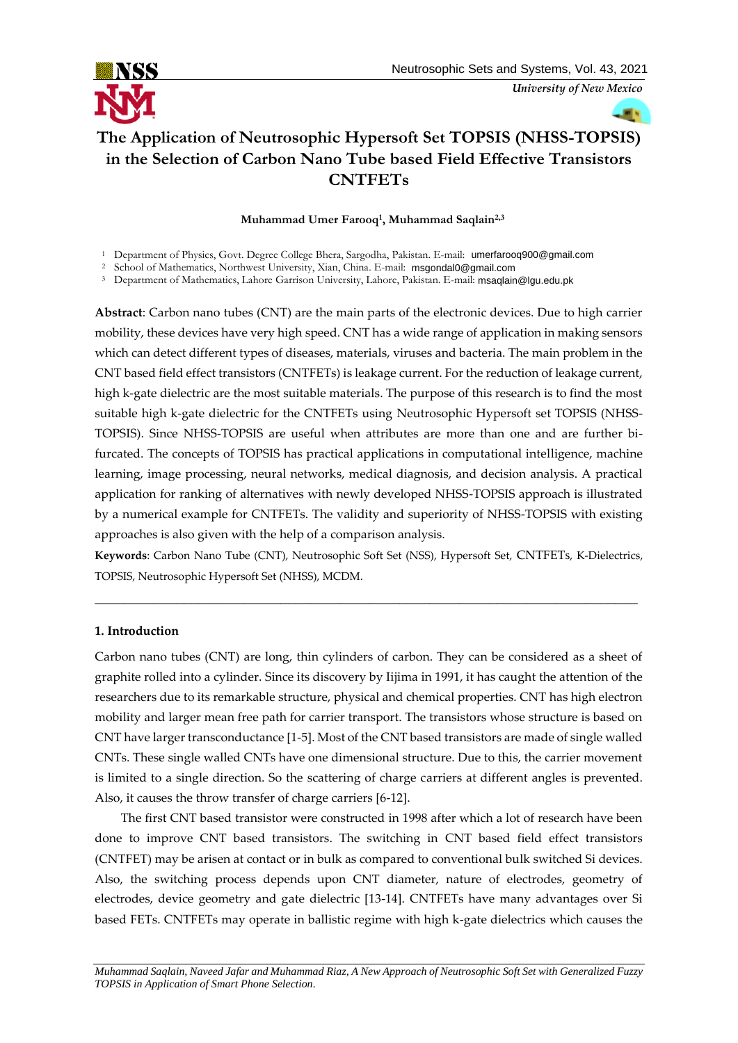

*University of New Mexico*

# **The Application of Neutrosophic Hypersoft Set TOPSIS (NHSS-TOPSIS) in the Selection of Carbon Nano Tube based Field Effective Transistors CNTFETs**

# **Muhammad Umer Farooq<sup>1</sup> , Muhammad Saqlain2,3**

<sup>2</sup> School of Mathematics, Northwest University, Xian, China. E-mail: [msgondal0@gmail.com](mailto:msgondal0@gmail.com)

<sup>3</sup> Department of Mathematics, Lahore Garrison University, Lahore, Pakistan. E-mail: [msaqlain@lgu.edu.pk](mailto:msaqlain@lgu.edu.pk)

**Abstract**: Carbon nano tubes (CNT) are the main parts of the electronic devices. Due to high carrier mobility, these devices have very high speed. CNT has a wide range of application in making sensors which can detect different types of diseases, materials, viruses and bacteria. The main problem in the CNT based field effect transistors (CNTFETs) is leakage current. For the reduction of leakage current, high k-gate dielectric are the most suitable materials. The purpose of this research is to find the most suitable high k-gate dielectric for the CNTFETs using Neutrosophic Hypersoft set TOPSIS (NHSS-TOPSIS). Since NHSS-TOPSIS are useful when attributes are more than one and are further bifurcated. The concepts of TOPSIS has practical applications in computational intelligence, machine learning, image processing, neural networks, medical diagnosis, and decision analysis. A practical application for ranking of alternatives with newly developed NHSS-TOPSIS approach is illustrated by a numerical example for CNTFETs. The validity and superiority of NHSS-TOPSIS with existing approaches is also given with the help of a comparison analysis.

**Keywords**: Carbon Nano Tube (CNT), Neutrosophic Soft Set (NSS), Hypersoft Set, CNTFETs, K-Dielectrics, TOPSIS, Neutrosophic Hypersoft Set (NHSS), MCDM.

\_\_\_\_\_\_\_\_\_\_\_\_\_\_\_\_\_\_\_\_\_\_\_\_\_\_\_\_\_\_\_\_\_\_\_\_\_\_\_\_\_\_\_\_\_\_\_\_\_\_\_\_\_\_\_\_\_\_\_\_\_\_\_\_\_\_\_\_\_\_\_\_\_

# **1. Introduction**

Carbon nano tubes (CNT) are long, thin cylinders of carbon. They can be considered as a sheet of graphite rolled into a cylinder. Since its discovery by Iijima in 1991, it has caught the attention of the researchers due to its remarkable structure, physical and chemical properties. CNT has high electron mobility and larger mean free path for carrier transport. The transistors whose structure is based on CNT have larger transconductance [1-5]. Most of the CNT based transistors are made of single walled CNTs. These single walled CNTs have one dimensional structure. Due to this, the carrier movement is limited to a single direction. So the scattering of charge carriers at different angles is prevented. Also, it causes the throw transfer of charge carriers [6-12].

The first CNT based transistor were constructed in 1998 after which a lot of research have been done to improve CNT based transistors. The switching in CNT based field effect transistors (CNTFET) may be arisen at contact or in bulk as compared to conventional bulk switched Si devices. Also, the switching process depends upon CNT diameter, nature of electrodes, geometry of electrodes, device geometry and gate dielectric [13-14]. CNTFETs have many advantages over Si based FETs. CNTFETs may operate in ballistic regime with high k-gate dielectrics which causes the

<sup>&</sup>lt;sup>1</sup> Department of Physics, Govt. Degree College Bhera, Sargodha, Pakistan. E-mail: [umerfarooq900@gmail.com](mailto:umerfarooq900@gmail.com)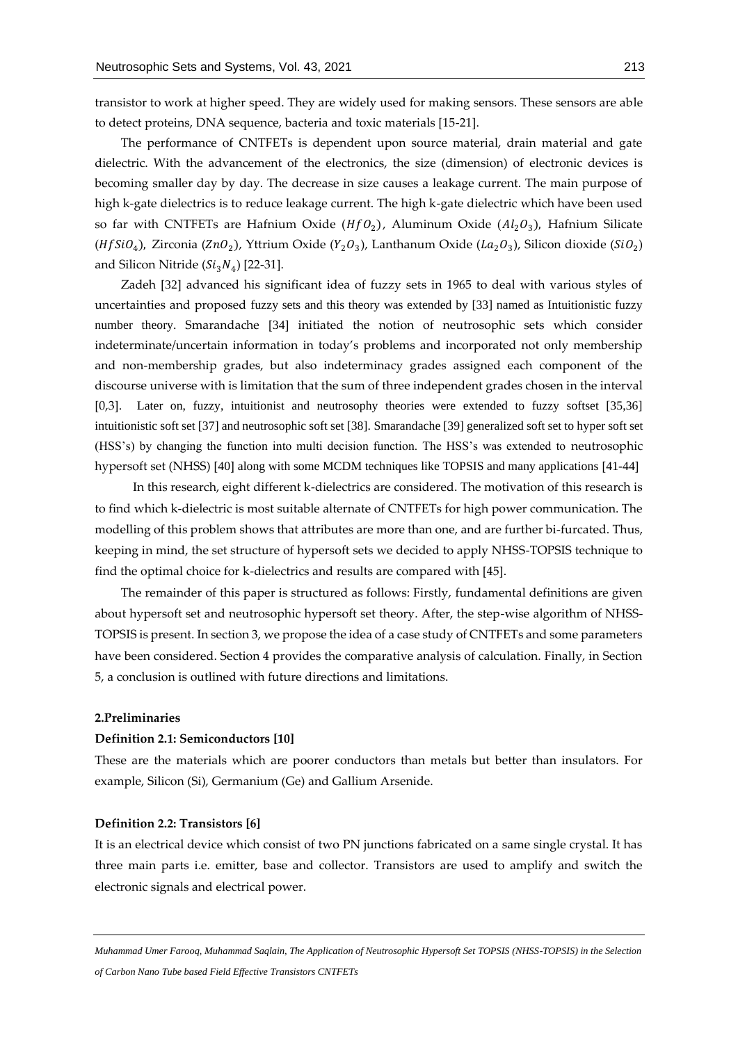transistor to work at higher speed. They are widely used for making sensors. These sensors are able to detect proteins, DNA sequence, bacteria and toxic materials [15-21].

The performance of CNTFETs is dependent upon source material, drain material and gate dielectric. With the advancement of the electronics, the size (dimension) of electronic devices is becoming smaller day by day. The decrease in size causes a leakage current. The main purpose of high k-gate dielectrics is to reduce leakage current. The high k-gate dielectric which have been used so far with CNTFETs are Hafnium Oxide  $(HfO_2)$ , Aluminum Oxide  $(Al_2O_3)$ , Hafnium Silicate (*Hf* SiO<sub>4</sub>), Zirconia (ZnO<sub>2</sub>), Yttrium Oxide (Y<sub>2</sub>O<sub>3</sub>), Lanthanum Oxide (La<sub>2</sub>O<sub>3</sub>), Silicon dioxide (SiO<sub>2</sub>) and Silicon Nitride  $(Si_3N_4)$  [22-31].

Zadeh [32] advanced his significant idea of fuzzy sets in 1965 to deal with various styles of uncertainties and proposed fuzzy sets and this theory was extended by [33] named as Intuitionistic fuzzy number theory. Smarandache [34] initiated the notion of neutrosophic sets which consider indeterminate/uncertain information in today's problems and incorporated not only membership and non-membership grades, but also indeterminacy grades assigned each component of the discourse universe with is limitation that the sum of three independent grades chosen in the interval [0,3]. Later on, fuzzy, intuitionist and neutrosophy theories were extended to fuzzy softset [35,36] intuitionistic soft set [37] and neutrosophic soft set [38]. Smarandache [39] generalized soft set to hyper soft set (HSS's) by changing the function into multi decision function. The HSS's was extended to neutrosophic hypersoft set (NHSS) [40] along with some MCDM techniques like TOPSIS and many applications [41-44]

In this research, eight different k-dielectrics are considered. The motivation of this research is to find which k-dielectric is most suitable alternate of CNTFETs for high power communication. The modelling of this problem shows that attributes are more than one, and are further bi-furcated. Thus, keeping in mind, the set structure of hypersoft sets we decided to apply NHSS-TOPSIS technique to find the optimal choice for k-dielectrics and results are compared with [45].

The remainder of this paper is structured as follows: Firstly, fundamental definitions are given about hypersoft set and neutrosophic hypersoft set theory. After, the step-wise algorithm of NHSS-TOPSIS is present. In section 3, we propose the idea of a case study of CNTFETs and some parameters have been considered. Section 4 provides the comparative analysis of calculation. Finally, in Section 5, a conclusion is outlined with future directions and limitations.

#### **2.Preliminaries**

# **Definition 2.1: Semiconductors [10]**

These are the materials which are poorer conductors than metals but better than insulators. For example, Silicon (Si), Germanium (Ge) and Gallium Arsenide.

#### **Definition 2.2: Transistors [6]**

It is an electrical device which consist of two PN junctions fabricated on a same single crystal. It has three main parts i.e. emitter, base and collector. Transistors are used to amplify and switch the electronic signals and electrical power.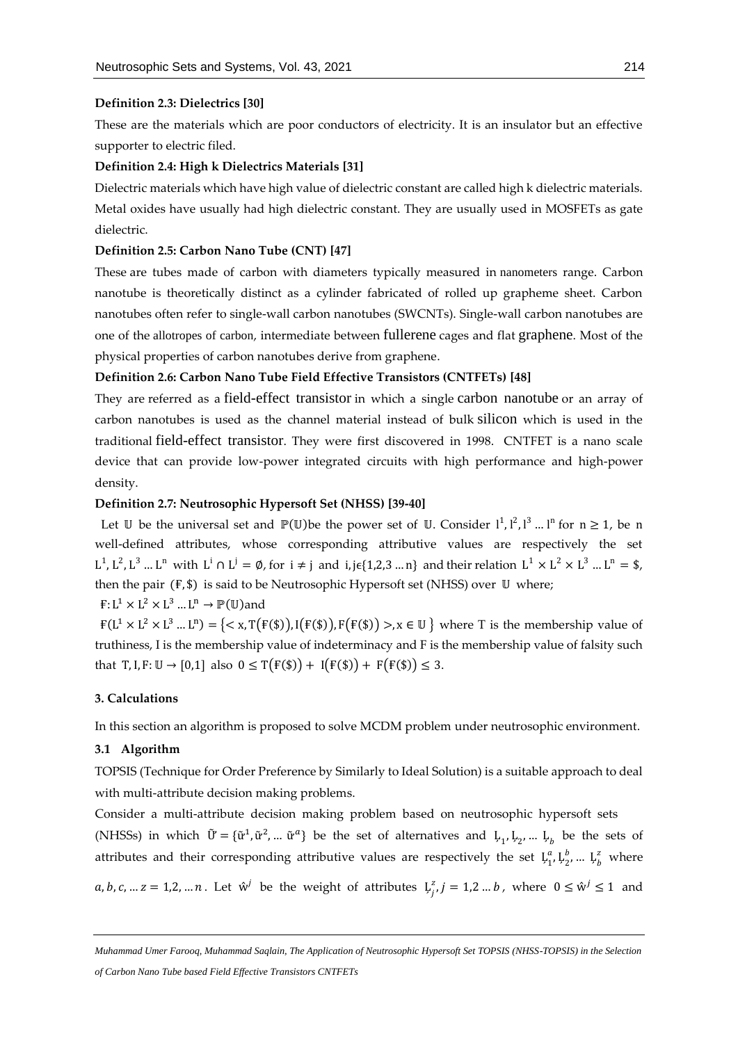#### **Definition 2.3: Dielectrics [30]**

These are the materials which are poor conductors of electricity. It is an insulator but an effective supporter to electric filed.

# **Definition 2.4: High k Dielectrics Materials [31]**

Dielectric materials which have high value of dielectric constant are called high k dielectric materials. Metal oxides have usually had high dielectric constant. They are usually used in MOSFETs as gate dielectric.

# **Definition 2.5: Carbon Nano Tube (CNT) [47] "**

These are tubes made of carbon with diameters typically measured in [nanometers](https://en.wikipedia.org/wiki/Nanometers) range. Carbon nanotube is theoretically distinct as a cylinder fabricated of rolled up grapheme sheet. Carbon nanotubes often refer to single-wall carbon nanotubes (SWCNTs). Single-wall carbon nanotubes are one of the [allotropes of carbon](https://en.wikipedia.org/wiki/Allotropes_of_carbon), intermediate between [fullerene](https://en.wikipedia.org/wiki/Fullerene) cages and flat [graphene](https://en.wikipedia.org/wiki/Graphene). Most of the physical properties of carbon nanotubes derive from graphene.

#### **Definition 2.6: Carbon Nano Tube Field Effective Transistors (CNTFETs) [48]**

They are referred as a [field-effect transistor](https://en.wikipedia.org/wiki/Field-effect_transistor) in which a single [carbon nanotube](https://en.wikipedia.org/wiki/Carbon_nanotube) or an array of carbon nanotubes is used as the channel material instead of bulk [silicon](https://en.wikipedia.org/wiki/Silicon) which is used in the traditional [field-effect transistor](https://en.wikipedia.org/wiki/Field-effect_transistor). They were first discovered in 1998. CNTFET is a nano scale device that can provide low-power integrated circuits with high performance and high-power density.

# **Definition 2.7: Neutrosophic Hypersoft Set (NHSS) [39-40]**

Let U be the universal set and  $\mathbb{P}(\mathbb{U})$  be the power set of U. Consider  $l^1, l^2, l^3, \ldots l^n$  for  $n \geq 1$ , be n well-defined attributes, whose corresponding attributive values are respectively the set  $L^1, L^2, L^3, \ldots, L^n$  with  $L^i \cap L^j = \emptyset$ , for  $i \neq j$  and  $i, j \in \{1, 2, 3, \ldots, n\}$  and their relation  $L^1 \times L^2 \times L^3, \ldots, L^n = \$$ , then the pair (F, \$) is said to be Neutrosophic Hypersoft set (NHSS) over U where;

# $\mathsf{F} \colon L^1 \times L^2 \times L^3 \dots L^n \to \mathbb{P}(\mathbb{U})$  and

 $F(L^1 \times L^2 \times L^3 ... L^n) = \{ < x, T(F(\$)), I(F(\$)), F(F(\$)) >, x \in \mathbb{U} \}$  where T is the membership value of truthiness, I is the membership value of indeterminacy and F is the membership value of falsity such that T, I, F:  $\mathbb{U} \to [0,1]$  also  $0 \leq T(F(\$)) + I(F(\$)) + F(F(\$)) \leq 3$ .

# **3. Calculations**

In this section an algorithm is proposed to solve MCDM problem under neutrosophic environment.

# **3.1 Algorithm**

TOPSIS (Technique for Order Preference by Similarly to Ideal Solution) is a suitable approach to deal with multi-attribute decision making problems.

Consider a multi-attribute decision making problem based on neutrosophic hypersoft sets (NHSSs) in which  $\tilde{U} = {\tilde{u}^1, \tilde{u}^2, ... \tilde{u}^a}$  be the set of alternatives and  $\mu_1, \mu_2, ... \mu_b$  be the sets of attributes and their corresponding attributive values are respectively the set  $\mu_1^a$  $_{1}^{a}$ ,  $L_{2}^{b}$  $L_2^b$ , ...  $L_b^z$  where *a*, *b*, *c*, ... *z* = 1,2, ... *n*. Let  $\hat{w}^j$  be the weight of attributes  $\downarrow^2$  $a_{i,j}^{z}$ ,  $j = 1, 2, \ldots, b$ , where  $0 \leq \hat{w}^{j} \leq 1$  and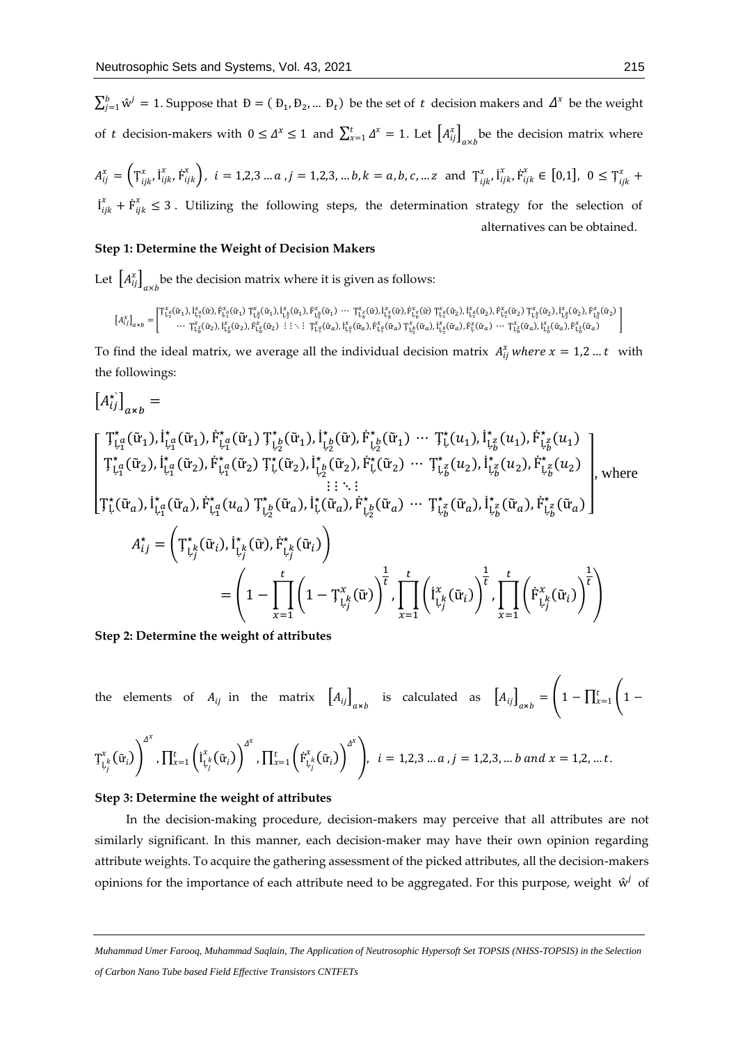$\sum_{j=1}^{b} \hat{w}^j = 1$ . Suppose that  $D = (D_1, D_2, ... D_t)$  be the set of t decision makers and  $\Delta^x$  be the weight of t decision-makers with  $0 \leq \Delta^x \leq 1$  and  $\sum_{x=1}^t \Delta^x = 1$ . Let  $\left[A_{ij}^x\right]_{\alpha \times b}$  be the decision matrix where

$$
A_{ij}^{x} = \left(\mathbf{T}_{ijk}^{x}, \mathbf{i}_{ijk}^{x}, \dot{\mathbf{F}}_{ijk}^{x}\right), i = 1, 2, 3 \dots a, j = 1, 2, 3, \dots b, k = a, b, c, \dots z \text{ and } \mathbf{T}_{ijk}^{x}, \mathbf{i}_{ijk}^{x}, \dot{\mathbf{F}}_{ijk}^{x} \in [0, 1], 0 \le \mathbf{T}_{ijk}^{x} + \mathbf{i}_{ijk}^{x} \le 3
$$
. Utilizing the following steps, the determination strategy for the selection of alternatives can be obtained.

#### **Step 1: Determine the Weight of Decision Makers**

Let  $\left[A_{ij}^x\right]_{a\times b}$  be the decision matrix where it is given as follows:

$$
\left[A_{ij}^x\right]_{\alpha \times b} = \begin{bmatrix} \mathbb{T}_{\mathfrak{l},\mathfrak{q}}^x(\tilde{u}_1),\mathfrak{l}_{\mathfrak{l},\mathfrak{q}}^x(\tilde{u}_1),\mathfrak{k}_{\mathfrak{l},\mathfrak{q}}^x(\tilde{u}_1) \ \mathbb{T}_{\mathfrak{l},\mathfrak{p}}^x(\tilde{u}_1),\mathfrak{l}_{\mathfrak{l},\mathfrak{p}}^x(\tilde{u}_1),\mathfrak{l}_{\mathfrak{l},\mathfrak{p}}^x(\tilde{u}_1) \ \cdots \ \mathbb{T}_{\mathfrak{l},\mathfrak{p}}^x(\tilde{u}_1),\mathfrak{l}_{\mathfrak{l},\mathfrak{p}}^x(\tilde{u}_1),\mathfrak{l}_{\mathfrak{l},\mathfrak{p}}^x(\tilde{u}_1) \ \cdots \ \mathbb{T}_{\mathfrak{l},\mathfrak{p}}^x(\tilde{u}_1),\mathfrak{l}_{\mathfrak{l},\mathfrak{p}}^x(\tilde{u}_1),\mathfrak{l}_{\mathfrak{l},\mathfrak{p}}^x(\tilde{u}_1) \ \cdots \ \mathbb{T}_{\mathfrak{l},\mathfrak{p}}^x(\tilde{u}),\mathfrak{l}_{\mathfrak{l},\mathfrak{p}}^x(\tilde{u}_1),\mathfrak{l}_{\mathfrak{l},\mathfrak{p}}^x(\tilde{u}_1),\mathfrak{l}_{\mathfrak{l},\mathfrak{p}}^x(\tilde{u}_1),\mathfrak{l}_{\mathfrak{l},\mathfrak{q}}^x(\tilde{u}_1),\mathfrak{l}_{\mathfrak{l},\mathfrak{p}}^x(\tilde{u}_1),\mathfrak{l}_{\mathfrak{l},\mathfrak{p}}^x(\tilde{u}_1),\mathfrak{l}_{\mathfrak{l},\mathfrak{p}}^x(\tilde{u}_1),\mathfrak{l}_{\mathfrak{l},\mathfrak{p}}^x(\tilde{u}_1),\mathfrak{l}_{\mathfrak{l},\mathfrak{p}}^x(\tilde{u}_1),\mathfrak{l}_{\mathfrak{l},\mathfrak{q}}^x(\tilde{u}_1),\mathfrak{l}_{\mathfrak{l},\mathfrak{p}}^x(\tilde{u}_1),\mathfrak{l}_{\mathfrak{l},\mathfrak{p}}^x(\tilde{u}_1),\
$$

To find the ideal matrix, we average all the individual decision matrix  $A_{ij}^x$  where  $x = 1,2...$  with the followings:

$$
[A_{ij}^{\star}]_{a \times b} =
$$
\n
$$
[T_{\downarrow q}^{\star}(\tilde{u}_{1}), \dot{I}_{\downarrow q}^{\star}(\tilde{u}_{1}), \dot{F}_{\downarrow q}^{\star}(\tilde{u}_{1}) T_{\downarrow p}^{\star}(\tilde{u}_{1}), \dot{I}_{\downarrow p}^{\star}(\tilde{u}_{1}), \dot{F}_{\downarrow p}^{\star}(\tilde{u}_{1}) \cdots T_{\downarrow}^{\star}(u_{1}), \dot{I}_{\downarrow p}^{\star}(u_{1}), \dot{F}_{\downarrow p}^{\star}(u_{1})]
$$
\n
$$
T_{\downarrow q}^{\star}(\tilde{u}_{2}), \dot{I}_{\downarrow q}^{\star}(\tilde{u}_{2}), \dot{F}_{\downarrow q}^{\star}(\tilde{u}_{2}) T_{\downarrow}^{\star}(\tilde{u}_{2}), \dot{I}_{\downarrow p}^{\star}(\tilde{u}_{2}), \dot{F}_{\downarrow}^{\star}(\tilde{u}_{2}) \cdots T_{\downarrow p}^{\star}(u_{2}), \dot{I}_{\downarrow p}^{\star}(u_{2}), \dot{F}_{\downarrow p}^{\star}(u_{2})
$$
\n
$$
[T_{\downarrow}^{\star}(\tilde{u}_{a}), \dot{I}_{\downarrow q}^{\star}(\tilde{u}_{a}), \dot{F}_{\downarrow q}^{\star}(u_{a}) T_{\downarrow p}^{\star}(\tilde{u}_{a}), \dot{I}_{\downarrow}^{\star}(\tilde{u}_{a}), \dot{F}_{\downarrow p}^{\star}(\tilde{u}_{a}) \cdots T_{\downarrow p}^{\star}(\tilde{u}_{a}), \dot{I}_{\downarrow p}^{\star}(\tilde{u}_{a}), \dot{F}_{\downarrow p}^{\star}(\tilde{u}_{a})
$$
\n
$$
A_{ij}^{\star} = \left(T_{\downarrow j}^{\star}(\tilde{u}_{i}), \dot{I}_{\downarrow j}^{\star}(\tilde{u}), \dot{F}_{\downarrow j}^{\star}(\tilde{u}_{i})\right)
$$
\n
$$
= \left(1 - \prod_{x=1}^{t} \left(1 - T_{\downarrow j}^{\star}(\tilde{u})\right)^{\frac{1}{t}} \prod_{x=1}^{t} \left(\dot{I}_{\downarrow j}^{\star}
$$

**Step 2: Determine the weight of attributes**

the elements of  $A_{ij}$  in the matrix  $\left[A_{ij}\right]_{\alpha \times b}$  is calculated as  $\left[A_{ij}\right]_{\alpha \times b} = \left[1 - \prod_{x=1}^{t} \left(1 - \prod_{y=1}^{t} \left(1 - \prod_{z=1}^{y}\right) \right)$ 

$$
T_{L_j^k}^x(\tilde{u}_i)\Bigg)^{\Delta^x}, \prod_{x=1}^t \left(\tilde{I}_{L_j^k}^x(\tilde{u}_i)\right)^{\Delta^x}, \prod_{x=1}^t \left(\tilde{F}_{L_j^k}^x(\tilde{u}_i)\right)^{\Delta^x}\Bigg), \ \ i=1,2,3 \ldots a \ , j=1,2,3, \ldots b \ and \ x=1,2, \ldots t.
$$

#### **Step 3: Determine the weight of attributes**

 In the decision-making procedure, decision-makers may perceive that all attributes are not similarly significant. In this manner, each decision-maker may have their own opinion regarding attribute weights. To acquire the gathering assessment of the picked attributes, all the decision-makers opinions for the importance of each attribute need to be aggregated. For this purpose, weight  $\hat{w}^j$  of

*Muhammad Umer Farooq, Muhammad Saqlain, The Application of Neutrosophic Hypersoft Set TOPSIS (NHSS-TOPSIS) in the Selection of Carbon Nano Tube based Field Effective Transistors CNTFETs*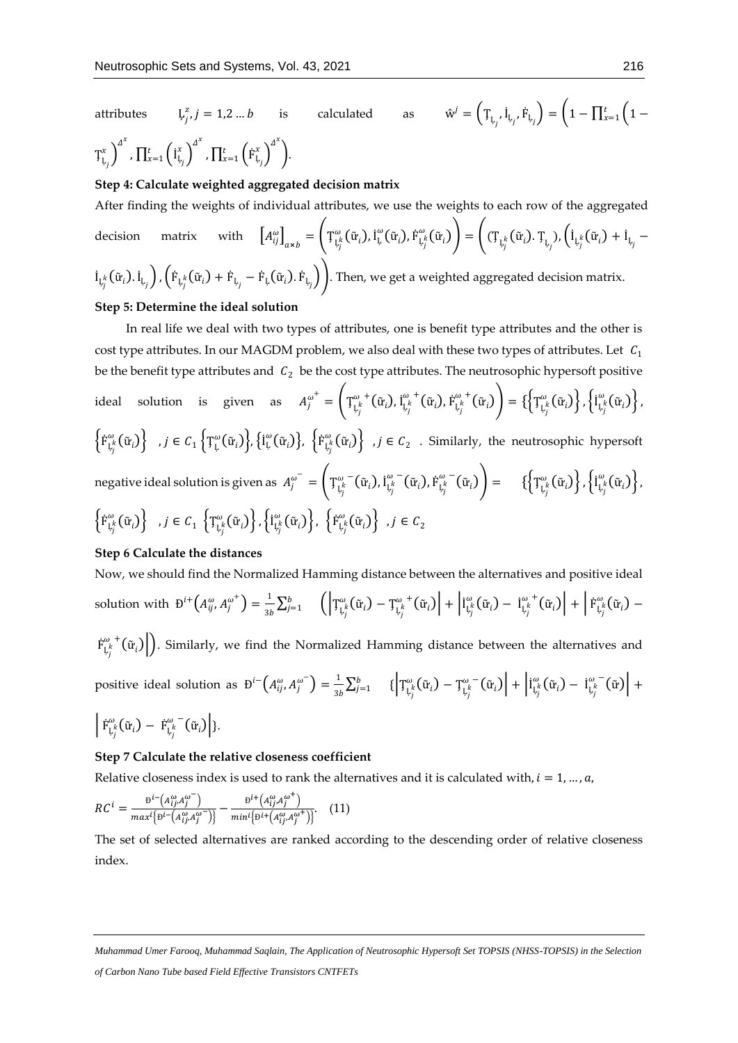attributes j  $x_i, j = 1, 2...b$  is calculated as  $\hat{w}$  $\boldsymbol{J}^j = \left(\mathbb{T}_{\boldsymbol{\mathrm{L}}_j}, \boldsymbol{\mathrm{I}}_{\boldsymbol{\mathrm{L}}_j}, \boldsymbol{\mathrm{F}}_{\boldsymbol{\mathrm{L}}_j}\right) = \left(1 - \prod_{x=1}^t \left(1 - \boldsymbol{\mathrm{I}}\right)\right)$  $T_{L_j}^x$ <sup> $\int_0^{A^x}$ </sup> ,  $\prod_{x=1}^t \left(\mathrm{i}_{\mathfrak{l}_{x_j}}^x\right)^{\varDelta^x}$  $_{x=1}^{t}\left(\boldsymbol{\mathrm{\dot{I}}}_{\mathrm{L}_{j}}^{x}\right)^{\varDelta^{x}}$  ,  $\prod_{x=1}^{t}\left(\dot{\boldsymbol{\mathrm{F}}}_{\mathrm{L}_{j}}^{x}\right)^{\varDelta^{x}}$  $_{x=1}^t$  ( $\overline{F}_{L_i}^x$ ) ).

#### **Step 4: Calculate weighted aggregated decision matrix**

After finding the weights of individual attributes, we use the weights to each row of the aggregated

decision matrix with 
$$
\left[A_{ij}^{\omega}\right]_{\alpha \times b} = \left(T_{L_j^k}^{\omega}(\tilde{u}_i), \dot{I}_{L_j}^{\omega}(\tilde{u}_i), \dot{F}_{L_j^k}^{\omega}(\tilde{u}_i)\right) = \left((T_{L_j^k}(\tilde{u}_i), T_{L_j}), \left(\dot{I}_{L_j^k}(\tilde{u}_i) + \dot{I}_{L_j} - \dot{I}_{L_j^k}(\tilde{u}_i)\right), \left(\dot{F}_{L_j^k}(\tilde{u}_i) + \dot{F}_{L_j} - \dot{F}_{L_j}(\tilde{u}_i)\right)\right)
$$
Then, we get a weighted aggregated decision matrix.

#### **Step 5: Determine the ideal solution**

 In real life we deal with two types of attributes, one is benefit type attributes and the other is cost type attributes. In our MAGDM problem, we also deal with these two types of attributes. Let  $C_1$ be the benefit type attributes and  $C_2$  be the cost type attributes. The neutrosophic hypersoft positive ideal solution is given as  $A^{\omega^+}_j = \left(T^{\omega^+}_{\downarrow^k_j}(\tilde u_i), I^{\omega^+}_{\downarrow^k_j}(\tilde u_i), F^{\omega^+}_{\downarrow^k_j}(\tilde u_i)\right) = \{\left\{T^{\omega}_{\downarrow^k_j}(\tilde u_i)\right\}, \left\{I^{\omega}_{\downarrow^k_j}(\tilde u_i)\right\},$  $\left\{ \dot{F}^{\omega}_{L_j^k}(\tilde{u}_i) \right\}$  ,  $j \in C_1$   $\left\{ T^{\omega}_{L}(\tilde{u}_i) \right\}$ ,  $\left\{ \dot{F}^{\omega}_{L_j^k}(\tilde{u}_i) \right\}$  ,  $j \in C_2$  . Similarly, the neutrosophic hypersoft negative ideal solution is given as  $\ A^{\omega^-}_j = \bigg( \mathop{\rm T_{L}}^{\omega^-}_{J^k_j}(\tilde u_i), \mathop{\rm i}\nolimits^{ \omega^-}_{L^k_j}(\tilde u_i), \mathop{\rm F_{L^k_j}^{\omega^-}}(\tilde u_i) \bigg) = \hspace{10pt} \{\bigg\{ \mathop{\rm T_{L^k_j}^\omega}(\tilde u_i) \bigg\}, \bigg\{ \mathop{\rm i}\nolimits^{ \omega^-}_{L^k_j}(\tilde u_i) \bigg\},$  $\left\{ \mathrm{\dot{F}}_{\mathrm{L}_{j}^{k}}^{\omega}(\tilde{\mathrm{u}}_{i})\right\}$  ,  $j\in\mathcal{C}_{1}\text{ }\left\{ \mathrm{T}_{\mathrm{L}_{j}^{k}}^{\omega}(\tilde{\mathrm{u}}_{i})\right\} ,\left\{ \mathrm{\dot{I}}_{\mathrm{L}_{j}^{k}}^{\omega}(\tilde{\mathrm{u}}_{i})\right\} ,\text{ }\left\{ \mathrm{\dot{F}}_{\mathrm{L}_{j}^{k}}^{\omega}(\tilde{\mathrm{u}}_{i})\right\}$  ,  $j\in\mathcal{C}_{2}$ 

#### **Step 6 Calculate the distances**

Now, we should find the Normalized Hamming distance between the alternatives and positive ideal solution with  $\mathbf{b}^{i+} (A_{ij}^{\omega}, A_{j}^{\omega^{+}}) = \frac{1}{\gamma_{ij}}$  $\frac{1}{3b}\Sigma_{j=1}^b \quad \left( \left|\mathsf{T}^\omega_{\mathsf{L}^\mathsf{K}_j}(\tilde{\mathrm{u}}_i) - \mathsf{T}^\omega_{\mathsf{L}^\mathsf{K}_j}(\tilde{\mathrm{u}}_i)\right| + \left|\mathrm{i}^\omega_{\mathsf{L}^\mathsf{K}_j}(\tilde{\mathrm{u}}_i) - \mathrm{i}^{\omega,\,\texttt{t}}_{\mathsf{L}^\mathsf{K}_j}(\tilde{\mathrm{u}}_i)\right| + \left|\,\mathrm{i}^\omega_{\mathsf{L}^\mathsf{K}_j}(\tilde{\mathrm{u}}_i) - \right|$  $\hat{F}^{\omega}_{L_j^k}(\tilde{w}_i)\bigg\vert$ ). Similarly, we find the Normalized Hamming distance between the alternatives and

positive ideal solution as  $\mathbf{D}^{i-}\left(A_{ij}^{\omega}, A_{j}^{\omega^{-}}\right)=\frac{1}{2i}$  $\frac{1}{3b}\Sigma_{j=1}^b \quad \{ \left| {\texttt T}^\omega_{\mathsf L_j^k}(\tilde{\mathrm w}_i) - {\texttt T}^\omega_{\mathsf L_j^k}(\tilde{\mathrm w}_i) \right| + \left| {\texttt I}^\omega_{\mathsf L_j^k}(\tilde{\mathrm w}_i) - {\texttt I}^\omega_{\mathsf L_j^k}(\tilde{\mathrm w}) \right| + \right.$ 

$$
\left|\dot{\mathrm{F}}_{\mathrm{L}_j^k}^\omega(\tilde{\mathrm{u}}_i) - \dot{\mathrm{F}}_{\mathrm{L}_j^k}^\omega(\tilde{\mathrm{u}}_i)\right|\}.
$$

#### **Step 7 Calculate the relative closeness coefficient**

Relative closeness index is used to rank the alternatives and it is calculated with,  $i = 1, ..., a$ ,

$$
RC^{i} = \frac{\mathbf{b}^{i-}(A_{ij}^{\omega}, A_{j}^{\omega})}{\max\{ \mathbf{b}^{i-}(A_{ij}^{\omega}, A_{j}^{\omega}) \}} - \frac{\mathbf{b}^{i+}(A_{ij}^{\omega}, A_{j}^{\omega^{+}})}{\min\{ \mathbf{b}^{i+}(A_{ij}^{\omega}, A_{j}^{\omega^{+}}) \}}.
$$
 (11)

The set of selected alternatives are ranked according to the descending order of relative closeness index.

*Muhammad Umer Farooq, Muhammad Saqlain, The Application of Neutrosophic Hypersoft Set TOPSIS (NHSS-TOPSIS) in the Selection of Carbon Nano Tube based Field Effective Transistors CNTFETs*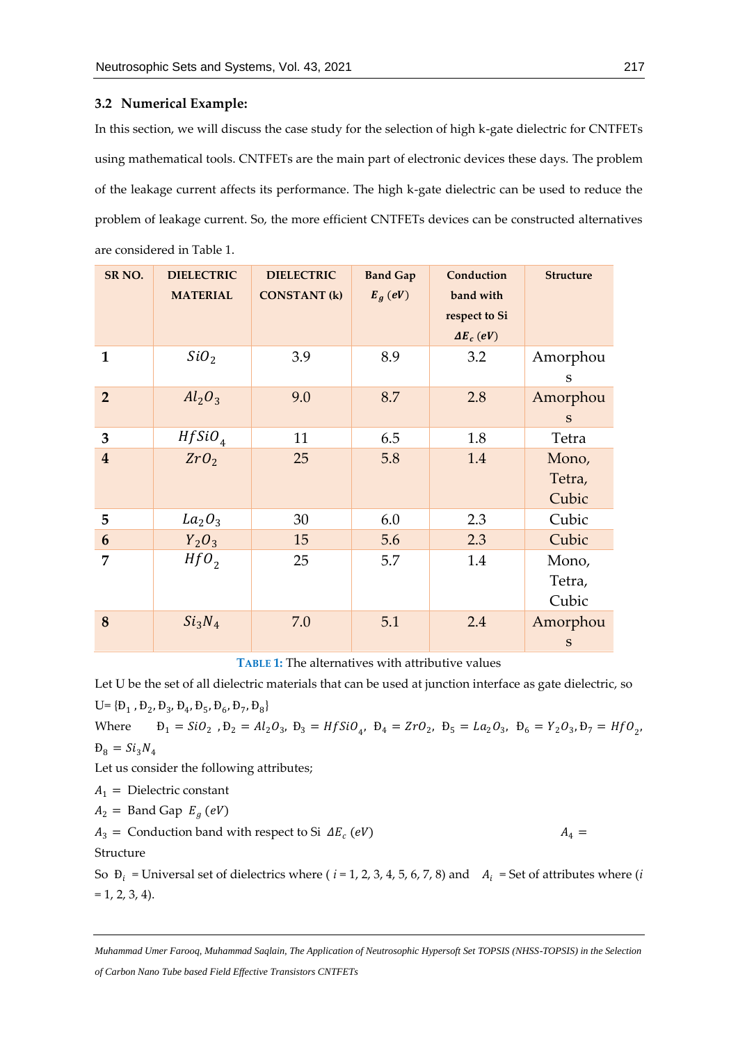#### **3.2 Numerical Example:**

In this section, we will discuss the case study for the selection of high k-gate dielectric for CNTFETs using mathematical tools. CNTFETs are the main part of electronic devices these days. The problem of the leakage current affects its performance. The high k-gate dielectric can be used to reduce the problem of leakage current. So, the more efficient CNTFETs devices can be constructed alternatives are considered in Table 1.

| SR <sub>NO.</sub>       | <b>DIELECTRIC</b><br><b>MATERIAL</b> | <b>DIELECTRIC</b><br><b>CONSTANT (k)</b> | <b>Band Gap</b><br>$E_g$ (eV) | Conduction<br>band with<br>respect to Si<br>$\Delta E_c$ (eV) | <b>Structure</b>          |
|-------------------------|--------------------------------------|------------------------------------------|-------------------------------|---------------------------------------------------------------|---------------------------|
| 1                       | SiO <sub>2</sub>                     | 3.9                                      | 8.9                           | 3.2                                                           | Amorphou<br>S             |
| $\overline{2}$          | $Al_2O_3$                            | 9.0                                      | 8.7                           | 2.8                                                           | Amorphou<br>S             |
| 3                       | HfSiO <sub>4</sub>                   | 11                                       | 6.5                           | 1.8                                                           | Tetra                     |
| $\overline{\mathbf{4}}$ | ZrO <sub>2</sub>                     | 25                                       | 5.8                           | 1.4                                                           | Mono,<br>Tetra,<br>Cubic  |
| 5                       | La <sub>2</sub> O <sub>3</sub>       | 30                                       | 6.0                           | 2.3                                                           | Cubic                     |
| 6                       | $Y_2O_3$                             | 15                                       | 5.6                           | 2.3                                                           | Cubic                     |
| 7                       | HfO <sub>2</sub>                     | 25                                       | 5.7                           | 1.4                                                           | Mono,<br>Tetra,<br>Cubic  |
| 8                       | Si <sub>3</sub> N <sub>4</sub>       | 7.0                                      | 5.1                           | 2.4                                                           | Amorphou<br>${\mathbf S}$ |

**TABLE 1:** The alternatives with attributive values

Let U be the set of all dielectric materials that can be used at junction interface as gate dielectric, so U= $\{B_1, B_2, B_3, B_4, B_5, B_6, B_7, B_8\}$ 

Where  $B_1 = SiO_2$ ,  $B_2 = Al_2O_3$ ,  $B_3 = Hfsio_{4}$ ,  $B_4 = ZrO_2$ ,  $B_5 = La_2O_3$ ,  $B_6 = Y_2O_3$ ,  $B_7 = Hfo_{2}$ ,  $D_8 = Si_3N_4$ Let us consider the following attributes;  $A_1$  = Dielectric constant  $A_2 =$  Band Gap  $E_g$  (eV)  $A_3$  = Conduction band with respect to Si  $\Delta E_c$  (eV)  $A_4 =$ Structure

So  $\mathbf{D}_i$  = Universal set of dielectrics where ( $i = 1, 2, 3, 4, 5, 6, 7, 8$ ) and  $A_i$  = Set of attributes where (*i*  $= 1, 2, 3, 4$ .

*Muhammad Umer Farooq, Muhammad Saqlain, The Application of Neutrosophic Hypersoft Set TOPSIS (NHSS-TOPSIS) in the Selection of Carbon Nano Tube based Field Effective Transistors CNTFETs*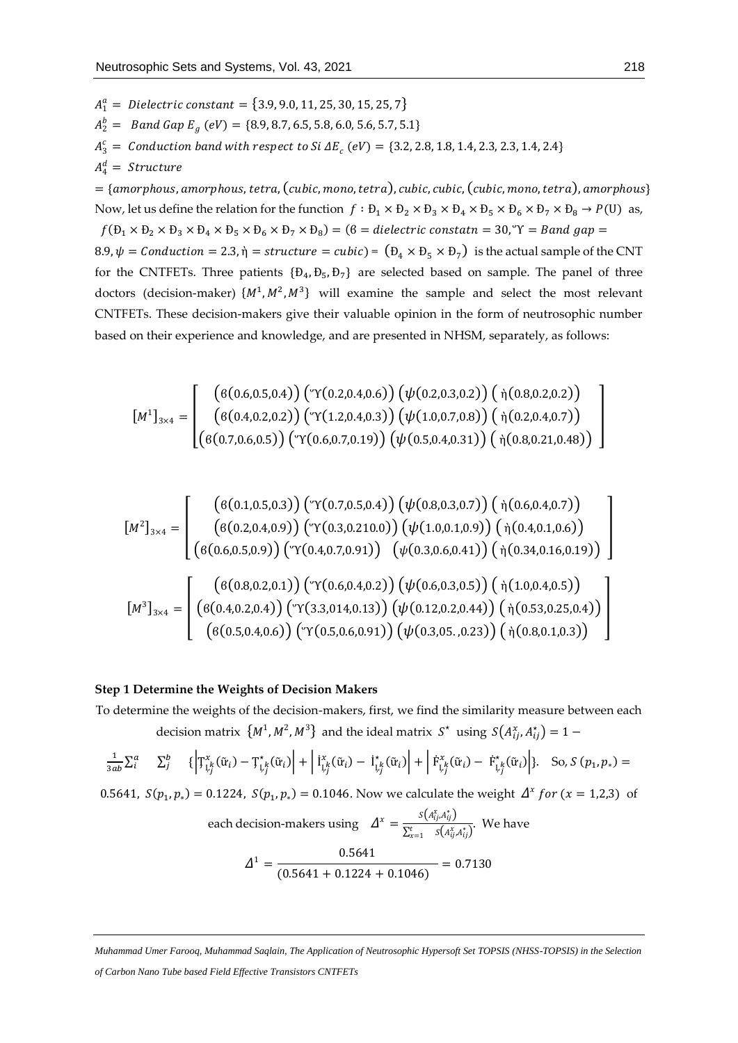$A_1^a = \text{ \scriptsize{Dielectric constant}} = \{3.9, 9.0, 11, 25, 30, 15, 25, 7\}$  $A_2^b =$  Band Gap  $E_g$  (eV) = {8.9, 8.7, 6.5, 5.8, 6.0, 5.6, 5.7, 5.1}  $A_3^c =$  Conduction band with respect to Si  $\Delta E_c$  (eV) = {3.2, 2.8, 1.8, 1.4, 2.3, 2.3, 1.4, 2.4}  $A_4^d =$  Structure

 $=$  {amorphous, amorphous, tetra, (cubic, mono, tetra), cubic, cubic, (cubic, mono, tetra), amorphous} Now, let us define the relation for the function  $f : B_1 \times B_2 \times B_3 \times B_4 \times B_5 \times B_6 \times B_7 \times B_8 \rightarrow P(U)$  as,

 $f(\theta_1 \times \theta_2 \times \theta_3 \times \theta_4 \times \theta_5 \times \theta_6 \times \theta_7 \times \theta_8) = (6 = dielectric constant = 30, \text{``Y = Band gap =}$ 8.9,  $\psi = \text{Conduction} = 2.3$ , ή = structure = cubic) =  $(D_4 \times D_5 \times D_7)$  is the actual sample of the CNT for the CNTFETs. Three patients  $\{D_4, D_5, D_7\}$  are selected based on sample. The panel of three doctors (decision-maker)  $\{M^1, M^2, M^3\}$  will examine the sample and select the most relevant CNTFETs. These decision-makers give their valuable opinion in the form of neutrosophic number based on their experience and knowledge, and are presented in NHSM, separately, as follows:

$$
\begin{bmatrix} M^1 \end{bmatrix}_{3 \times 4} = \begin{bmatrix} \begin{pmatrix} 6(0.6, 0.5, 0.4) \end{pmatrix} \begin{pmatrix} \forall (0.2, 0.4, 0.6) \end{pmatrix} \begin{pmatrix} \psi(0.2, 0.3, 0.2) \end{pmatrix} \begin{pmatrix} \dot{\eta}(0.8, 0.2, 0.2) \end{pmatrix} \\ \begin{pmatrix} 6(0.4, 0.2, 0.2) \end{pmatrix} \begin{pmatrix} \forall (1.2, 0.4, 0.3) \end{pmatrix} \begin{pmatrix} \psi(1.0, 0.7, 0.8) \end{pmatrix} \begin{pmatrix} \dot{\eta}(0.2, 0.4, 0.7) \end{pmatrix} \\ \begin{pmatrix} 6(0.7, 0.6, 0.5) \end{pmatrix} \begin{pmatrix} \forall (0.6, 0.7, 0.19) \end{pmatrix} \begin{pmatrix} \psi(0.5, 0.4, 0.31) \end{pmatrix} \begin{pmatrix} \dot{\eta}(0.8, 0.21, 0.48) \end{pmatrix} \end{bmatrix}
$$

$$
\begin{bmatrix} M^2 \end{bmatrix}_{3 \times 4} = \begin{bmatrix} \begin{pmatrix} 6(0.1, 0.5, 0.3) \end{pmatrix} \begin{pmatrix} \forall (0.7, 0.5, 0.4) \end{pmatrix} \begin{pmatrix} \psi(0.8, 0.3, 0.7) \end{pmatrix} \begin{pmatrix} \dot{\eta}(0.6, 0.4, 0.7) \end{pmatrix} \\ \begin{pmatrix} 6(0.2, 0.4, 0.9) \end{pmatrix} \begin{pmatrix} \forall (0.3, 0.210.0) \end{pmatrix} \begin{pmatrix} \psi(1.0, 0.1, 0.9) \end{pmatrix} \begin{pmatrix} \dot{\eta}(0.4, 0.1, 0.6) \end{pmatrix} \\ \begin{pmatrix} 6(0.6, 0.5, 0.9) \end{pmatrix} \begin{pmatrix} \forall (0.4, 0.7, 0.91) \end{pmatrix} \begin{pmatrix} \psi(0.3, 0.6, 0.41) \end{pmatrix} \begin{pmatrix} \dot{\eta}(0.34, 0.16, 0.19) \end{pmatrix} \end{bmatrix} \begin{pmatrix} \mathcal{U}(0.4, 0.2, 0.1) \begin{pmatrix} \psi(0.4, 0.7, 0.91) \end{pmatrix} \begin{pmatrix} \psi(0.5, 0.6, 0.41) \end{pmatrix} \begin{pmatrix} \dot{\eta}(1.0, 0.4, 0.5) \end{pmatrix} \\ \begin{pmatrix} 6(0.4, 0.2, 0.4) \end{pmatrix} \begin{pmatrix} \psi(3.3, 0.14, 0.13) \end{pmatrix} \begin{pmatrix} \psi(0.12, 0.2, 0.44) \end{pmatrix} \begin{pmatrix} \dot{\eta}(0.53, 0.25, 0.4) \end{pmatrix} \begin{pmatrix} \mathcal{U}(0.5, 0.4, 0.6) \end{pmatrix} \end{bmatrix}
$$

# **Step 1 Determine the Weights of Decision Makers**

To determine the weights of the decision-makers, first, we find the similarity measure between each decision matrix  $\{M^1, M^2, M^3\}$  and the ideal matrix  $S^*$  using  $S(A_{ij}^*, A_{ij}^*) = 1 -$ 

$$
\frac{1}{3ab}\Sigma_i^a \quad \Sigma_j^b \quad \{ \left| \mathcal{T}_{\mathcal{L}_j^k}^x(\tilde{\mathbf{u}}_i) - \mathcal{T}_{\mathcal{L}_j^k}^*(\tilde{\mathbf{u}}_i) \right| + \left| \mathbf{i}_{\mathcal{L}_j^k}^x(\tilde{\mathbf{u}}_i) - \mathbf{i}_{\mathcal{L}_j^k}^*(\tilde{\mathbf{u}}_i) \right| + \left| \mathbf{F}_{\mathcal{L}_j^k}^x(\tilde{\mathbf{u}}_i) - \mathcal{F}_{\mathcal{L}_j^k}^*(\tilde{\mathbf{u}}_i) \right| \}.
$$
 So,  $S(p_1, p_*) =$ 

0.5641,  $S(p_1, p_*) = 0.1224$ ,  $S(p_1, p_*) = 0.1046$ . Now we calculate the weight  $\Delta^x$  for  $(x = 1,2,3)$  of

each decision-makers using 
$$
\Delta^x = \frac{s(A_{ij}^x A_{ij}^*)}{\sum_{x=1}^t s(A_{ij}^x A_{ij}^*)}
$$
. We have  
\n
$$
\Delta^1 = \frac{0.5641}{(0.5641 + 0.1224 + 0.1046)} = 0.7130
$$

*Muhammad Umer Farooq, Muhammad Saqlain, The Application of Neutrosophic Hypersoft Set TOPSIS (NHSS-TOPSIS) in the Selection of Carbon Nano Tube based Field Effective Transistors CNTFETs*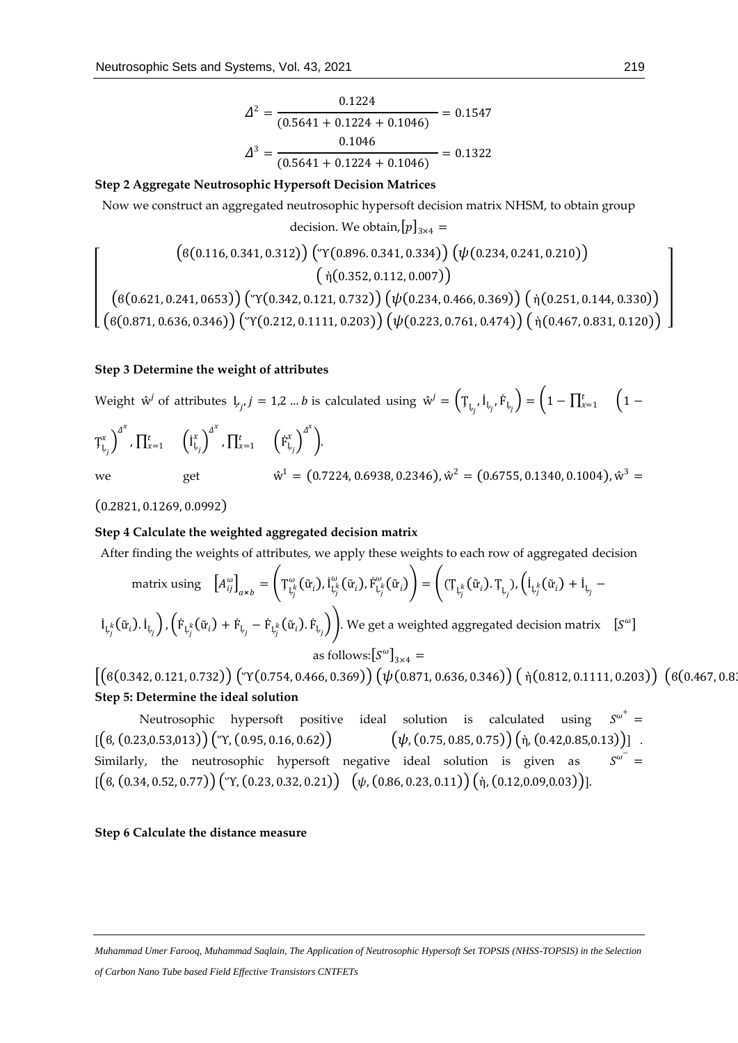$$
\Delta^2 = \frac{0.1224}{(0.5641 + 0.1224 + 0.1046)} = 0.1547
$$

$$
\Delta^3 = \frac{0.1046}{(0.5641 + 0.1224 + 0.1046)} = 0.1322
$$

# **Step 2 Aggregate Neutrosophic Hypersoft Decision Matrices**

Now we construct an aggregated neutrosophic hypersoft decision matrix NHSM, to obtain group decision. We obtain,  $[p]_{3\times4}$  =

$$
\left(\begin{array}{c} \left(6(0.116, 0.341, 0.312)\right)\left(\begin{array}{c} \gamma(0.896, 0.341, 0.334)\right)\left(\psi(0.234, 0.241, 0.210)\right) \end{array}\right) \\ \left(\begin{array}{c} \dot{\gamma}(0.352, 0.112, 0.007) \end{array}\right) \\ \left(\begin{array}{c} \dot{\gamma}(0.352, 0.112, 0.007) \end{array}\right) \left(\begin{array}{c} \dot{\gamma}(0.234, 0.466, 0.369) \end{array}\right) \left(\begin{array}{c} \dot{\gamma}(0.251, 0.144, 0.330) \end{array}\right) \\ \left(\begin{array}{c} \dot{\gamma}(0.871, 0.636, 0.346) \end{array}\right) \left(\begin{array}{c} \gamma(0.212, 0.1111, 0.203) \end{array}\right) \left(\begin{array}{c} \psi(0.223, 0.761, 0.474) \end{array}\right) \left(\begin{array}{c} \dot{\gamma}(0.467, 0.831, 0.120) \end{array}\right) \end{array}\right)
$$

#### **Step 3 Determine the weight of attributes**

Weight  $\hat{w}^j$  of attributes  $\boldsymbol{\downarrow}_{j}$ ,  $j=1,2$  ...  $b$  is calculated using  $\hat{w}^j = \left(\boldsymbol{\uparrow}_{\boldsymbol{\downarrow}_{j}} , \dot{\boldsymbol{\downarrow}}_{i_{j}} , \dot{\boldsymbol{\uparrow}}_{\boldsymbol{\downarrow}_{j}}\right) = \left(1-\prod_{x=1}^{t} \left(1-\prod_{x=1}^{t} \boldsymbol{\downarrow}_{x}\right)\right)$ 

$$
T_{L_j}^x \Big)^{d^x} \cdot \prod_{x=1}^t \left( i_{L_j}^x \right)^{d^x} \cdot \prod_{x=1}^t \left( \dot{F}_{L_j}^x \right)^{d^x} \bigg).
$$
\nwe get\n
$$
\hat{w}^1 = (0.7224, 0.6938, 0.2346), \hat{w}^2 = (0.6755, 0.1340, 0.1004), \hat{w}^3 =
$$

(0.2821, 0.1269, 0.0992)

 $\lfloor$ I I I I

#### **Step 4 Calculate the weighted aggregated decision matrix**

After finding the weights of attributes, we apply these weights to each row of aggregated decision

matrix using 
$$
\left[A_{ij}^{\omega}\right]_{\alpha \times b} = \left(T_{L_j^k}^{\omega}(\tilde{u}_i), I_{L_j^k}^{\omega}(\tilde{u}_i), \dot{F}_{L_j^k}^{\omega}(\tilde{u}_i)\right) = \left((T_{L_j^k}(\tilde{u}_i), T_{L_j}), \left(I_{L_j^k}(\tilde{u}_i) + I_{L_j} - I_{L_j^k}(\tilde{u}_i), I_{L_j} + \dot{F}_{L_j} - \dot{F}_{L_j^k}(\tilde{u}_i), \dot{F}_{L_j}\right)\right)
$$
  
we get a weighted aggregated decision matrix  $[S^{\omega}]$   
as follows:  $[S^{\omega}]_{3 \times 4} =$ 

 $[(6(0.342, 0.121, 0.732))$  ( $\Upsilon$ (0.754, 0.466, 0.369))  $(\psi$ (0.871, 0.636, 0.346))  $(\eta$ (0.812, 0.1111, 0.203))  $(6(0.467, 0.812, 0.1111, 0.203))$ **Step 5: Determine the ideal solution**

Neutrosophic hypersoft positive ideal solution is calculated using  $\omega^+$  =  $[(6, (0.23, 0.53, 013))$  $(\Upsilon$ ,  $(0.95, 0.16, 0.62))$   $(\psi$ ,  $(0.75, 0.85, 0.75))$  $(\eta$ ,  $(0.42, 0.85, 0.13))$  . Similarly, the neutrosophic hypersoft negative ideal solution is given as  $\sigma$ <sup>-</sup> =  $[(6, (0.34, 0.52, 0.77))$  $(\gamma, (0.23, 0.32, 0.21))$  $(\psi, (0.86, 0.23, 0.11))$  $(\eta, (0.12, 0.09, 0.03))$ ].

# **Step 6 Calculate the distance measure**

 $\overline{\phantom{a}}$  $\overline{\phantom{a}}$  $\overline{\phantom{a}}$  $\overline{\phantom{a}}$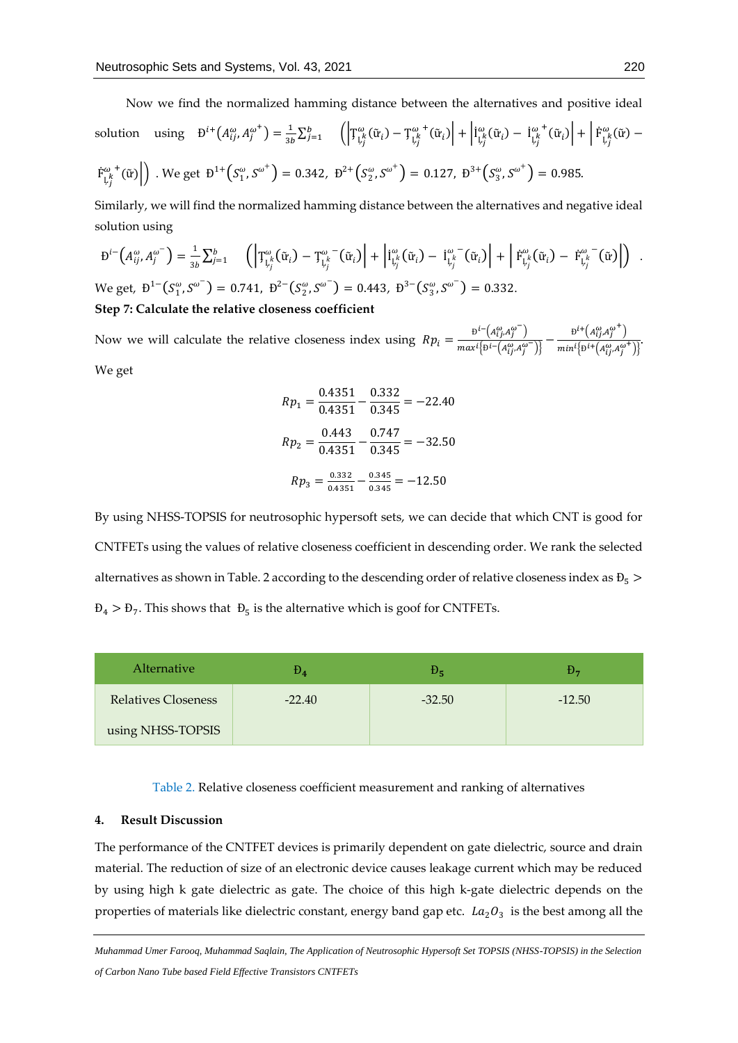Now we find the normalized hamming distance between the alternatives and positive ideal

solution using 
$$
B^{i+}(A_{ij}^{\omega}, A_j^{\omega^+}) = \frac{1}{3b} \sum_{j=1}^{b} \left( \left| T_{L_j^k}^{\omega}(\tilde{u}_i) - T_{L_j^k}^{\omega^+}(\tilde{u}_i) \right| + \left| I_{L_j^k}^{\omega}(\tilde{u}_i) - I_{L_j^k}^{\omega^+}(\tilde{u}_i) \right| + \left| F_{L_j^k}^{\omega}(\tilde{u}) - F_{L_j^k}^{\omega^+}(\tilde{u}) \right| \right)
$$
  
\n $F_{L_j^k}^{\omega^+}(\tilde{u})$  We get  $B^{1+}(S_1^{\omega}, S^{\omega^+}) = 0.342$ ,  $B^{2+}(S_2^{\omega}, S^{\omega^+}) = 0.127$ ,  $B^{3+}(S_3^{\omega}, S^{\omega^+}) = 0.985$ .

Similarly, we will find the normalized hamming distance between the alternatives and negative ideal solution using

$$
\mathbf{D}^{i-}\left(A_{ij}^{\omega},A_j^{\omega^-}\right) = \frac{1}{3b}\sum_{j=1}^b \left( \left| \mathbf{T}^{\omega}_{\mathbf{L}_j}(\tilde{\mathbf{u}}_i) - \mathbf{T}^{\omega}_{\mathbf{L}_j'}(\tilde{\mathbf{u}}_i) \right| + \left| \mathbf{I}^{\omega}_{\mathbf{L}_j'}(\tilde{\mathbf{u}}_i) - \mathbf{I}^{\omega^-}_{\mathbf{L}_j'}(\tilde{\mathbf{u}}_i) \right| + \left| \mathbf{F}^{\omega}_{\mathbf{L}_j'}(\tilde{\mathbf{u}}_i) - \mathbf{F}^{\omega^-}_{\mathbf{L}_j'}(\tilde{\mathbf{u}}) \right| \right).
$$

We get,  $D^{1-}(S_1^{\omega}, S^{\omega}) = 0.741$ ,  $D^{2-}(S_2^{\omega}, S^{\omega}) = 0.443$ ,  $D^{3-}(S_3^{\omega}, S^{\omega}) = 0.332$ . **Step 7: Calculate the relative closeness coefficient**

Now we will calculate the relative closeness index using  $Rp_i = \frac{B^i - (A_{ij}^0, A_{ij}^0)^{-1}}{\max\{b_i\} \cdot A_{ij}^0}$  $\frac{\mathrm{B}^{i-}\left(A^{\omega}_{ij}A^{\omega}_{j}^{-}\right)}{max^{i}\left\{\mathrm{B}^{i-}\left(A^{\omega}_{ij}A^{\omega}_{j}^{-}\right)\right\}} - \frac{\mathrm{B}^{i+}\left(A^{\omega}_{ij}A^{\omega}_{j}^{+}\right)}{min^{i}\left\{\mathrm{B}^{i+}\left(A^{\omega}_{ij}A^{\omega}_{j}^{-}\right)\right\}}$  $\frac{\sqrt{2} \left[1 + \left(A_{ij}^{\omega} A_{j}^{\omega^+}\right)\right]}{min^{i} \left[B^{i+}\left(A_{ij}^{\omega} A_{j}^{\omega^+}\right)\right]}$ We get

$$
Rp_1 = \frac{0.4351}{0.4351} - \frac{0.332}{0.345} = -22.40
$$

$$
Rp_2 = \frac{0.443}{0.4351} - \frac{0.747}{0.345} = -32.50
$$

$$
Rp_3 = \frac{0.332}{0.4351} - \frac{0.345}{0.345} = -12.50
$$

By using NHSS-TOPSIS for neutrosophic hypersoft sets, we can decide that which CNT is good for CNTFETs using the values of relative closeness coefficient in descending order. We rank the selected alternatives as shown in Table. 2 according to the descending order of relative closeness index as  $B_5$  >  $\theta_4 > \theta_7$ . This shows that  $\theta_5$  is the alternative which is goof for CNTFETs.

| Alternative                | $\rm\,\nu_{4}$ |          |          |
|----------------------------|----------------|----------|----------|
| <b>Relatives Closeness</b> | $-22.40$       | $-32.50$ | $-12.50$ |
| using NHSS-TOPSIS          |                |          |          |

Table 2. Relative closeness coefficient measurement and ranking of alternatives

### **4. Result Discussion**

The performance of the CNTFET devices is primarily dependent on gate dielectric, source and drain material. The reduction of size of an electronic device causes leakage current which may be reduced by using high k gate dielectric as gate. The choice of this high k-gate dielectric depends on the properties of materials like dielectric constant, energy band gap etc.  $\textit{La}_2\textit{O}_3\,$  is the best among all the

*Muhammad Umer Farooq, Muhammad Saqlain, The Application of Neutrosophic Hypersoft Set TOPSIS (NHSS-TOPSIS) in the Selection of Carbon Nano Tube based Field Effective Transistors CNTFETs*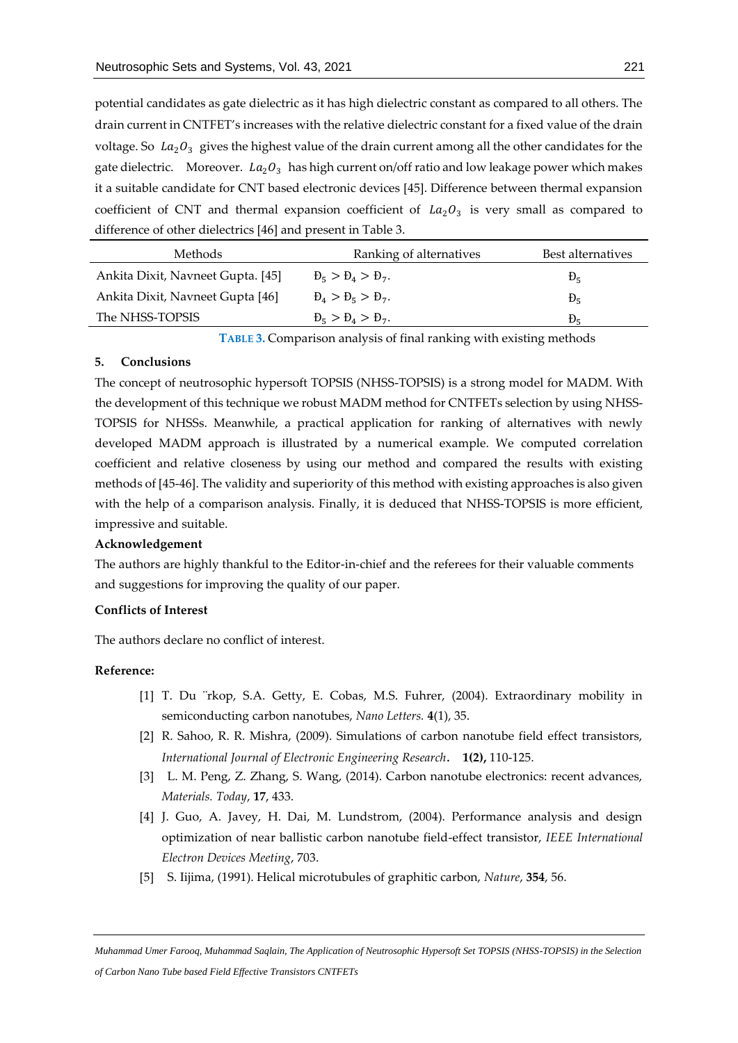potential candidates as gate dielectric as it has high dielectric constant as compared to all others. The drain current in CNTFET's increases with the relative dielectric constant for a fixed value of the drain voltage. So  $La_2O_3$  gives the highest value of the drain current among all the other candidates for the gate dielectric. Moreover.  $La_2O_3$  has high current on/off ratio and low leakage power which makes it a suitable candidate for CNT based electronic devices [45]. Difference between thermal expansion coefficient of CNT and thermal expansion coefficient of  $La_2O_3$  is very small as compared to difference of other dielectrics [46] and present in Table 3.

| Methods                           | Ranking of alternatives            | Best alternatives |
|-----------------------------------|------------------------------------|-------------------|
| Ankita Dixit, Navneet Gupta. [45] | $\theta_5 > \theta_4 > \theta_7$ . | $b_{\epsilon}$    |
| Ankita Dixit, Navneet Gupta [46]  | $\theta_4 > \theta_5 > \theta_7$ . | $E_{\rm g}$       |
| The NHSS-TOPSIS                   | $B_5 > B_4 > B_7$ .                |                   |

**TABLE 3.** Comparison analysis of final ranking with existing methods

# **5. Conclusions**

The concept of neutrosophic hypersoft TOPSIS (NHSS-TOPSIS) is a strong model for MADM. With the development of this technique we robust MADM method for CNTFETs selection by using NHSS-TOPSIS for NHSSs. Meanwhile, a practical application for ranking of alternatives with newly developed MADM approach is illustrated by a numerical example. We computed correlation coefficient and relative closeness by using our method and compared the results with existing methods of [45-46]. The validity and superiority of this method with existing approaches is also given with the help of a comparison analysis. Finally, it is deduced that NHSS-TOPSIS is more efficient, impressive and suitable.

#### **Acknowledgement**

The authors are highly thankful to the Editor-in-chief and the referees for their valuable comments and suggestions for improving the quality of our paper.

#### **Conflicts of Interest**

The authors declare no conflict of interest.

# **Reference:**

- [1] T. Du ¨rkop, S.A. Getty, E. Cobas, M.S. Fuhrer, (2004). Extraordinary mobility in semiconducting carbon nanotubes, *Nano Letters.* **4**(1), 35.
- [2] R. Sahoo, R. R. Mishra, (2009). Simulations of carbon nanotube field effect transistors, *International Journal of Electronic Engineering Research*. **1(2),** 110-125.
- [3] L. M. Peng, Z. Zhang, S. Wang, (2014). Carbon nanotube electronics: recent advances, *Materials. Today*, **17**, 433.
- [4] J. Guo, A. Javey, H. Dai, M. Lundstrom, (2004). Performance analysis and design optimization of near ballistic carbon nanotube field-effect transistor, *IEEE International Electron Devices Meeting*, 703.
- [5] S. Iijima, (1991). Helical microtubules of graphitic carbon, *Nature*, **354**, 56.

*Muhammad Umer Farooq, Muhammad Saqlain, The Application of Neutrosophic Hypersoft Set TOPSIS (NHSS-TOPSIS) in the Selection of Carbon Nano Tube based Field Effective Transistors CNTFETs*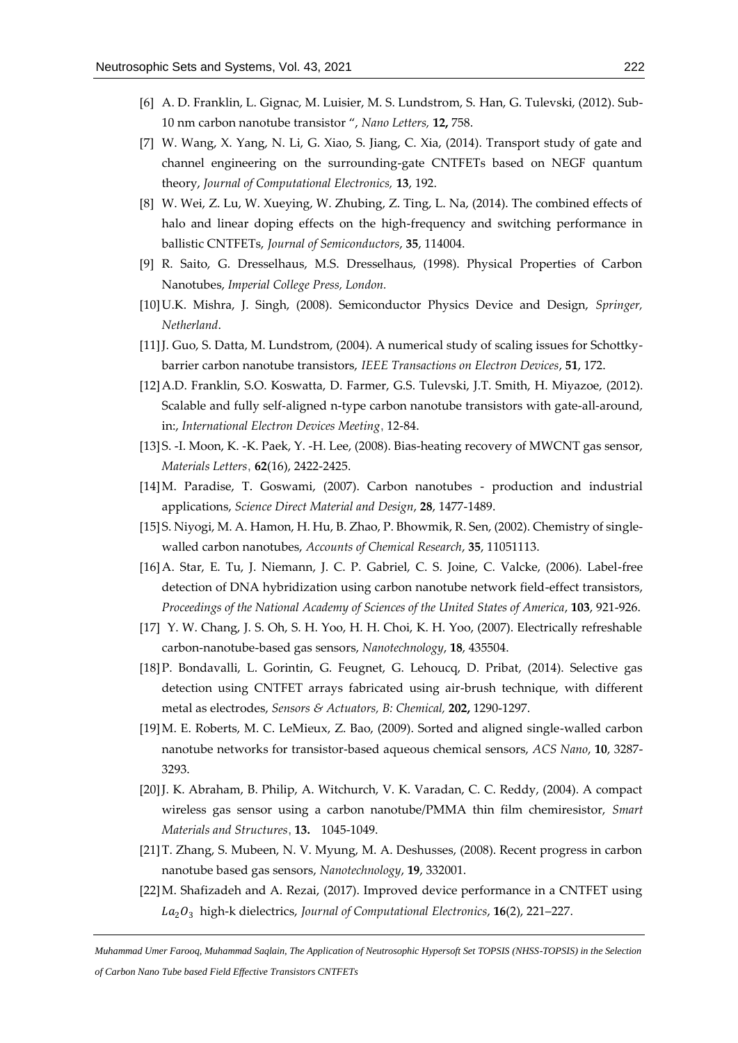- [6] A. D. Franklin, L. Gignac, M. Luisier, M. S. Lundstrom, S. Han, G. Tulevski, (2012). Sub-10 nm carbon nanotube transistor ", *Nano Letters,* **12,** 758.
- [7] W. Wang, X. Yang, N. Li, G. Xiao, S. Jiang, C. Xia, (2014). Transport study of gate and channel engineering on the surrounding-gate CNTFETs based on NEGF quantum theory, *Journal of Computational Electronics,* **13**, 192.
- [8] W. Wei, Z. Lu, W. Xueying, W. Zhubing, Z. Ting, L. Na, (2014). The combined effects of halo and linear doping effects on the high-frequency and switching performance in ballistic CNTFETs, *Journal of Semiconductors*, **35**, 114004.
- [9] R. Saito, G. Dresselhaus, M.S. Dresselhaus, (1998). Physical Properties of Carbon Nanotubes, *Imperial College Press, London.*
- [10]U.K. Mishra, J. Singh, (2008). Semiconductor Physics Device and Design, *Springer, Netherland*.
- [11] J. Guo, S. Datta, M. Lundstrom, (2004). A numerical study of scaling issues for Schottkybarrier carbon nanotube transistors, *IEEE Transactions on Electron Devices*, **51**, 172.
- [12]A.D. Franklin, S.O. Koswatta, D. Farmer, G.S. Tulevski, J.T. Smith, H. Miyazoe, (2012). Scalable and fully self-aligned n-type carbon nanotube transistors with gate-all-around, in:, *International Electron Devices Meeting*, 12-84.
- [13]S. -I. Moon, K. -K. Paek, Y. -H. Lee, (2008). Bias-heating recovery of MWCNT gas sensor, *Materials Letters*, **62**(16), 2422-2425.
- [14]M. Paradise, T. Goswami, (2007). Carbon nanotubes production and industrial applications, *Science Direct Material and Design*, **28**, 1477-1489.
- [15]S. Niyogi, M. A. Hamon, H. Hu, B. Zhao, P. Bhowmik, R. Sen, (2002). Chemistry of singlewalled carbon nanotubes, *Accounts of Chemical Research*, **35**, 11051113.
- [16]A. Star, E. Tu, J. Niemann, J. C. P. Gabriel, C. S. Joine, C. Valcke, (2006). Label-free detection of DNA hybridization using carbon nanotube network field-effect transistors, *Proceedings of the National Academy of Sciences of the United States of America*, **103**, 921-926.
- [17] Y. W. Chang, J. S. Oh, S. H. Yoo, H. H. Choi, K. H. Yoo, (2007). Electrically refreshable carbon-nanotube-based gas sensors, *Nanotechnology*, **18**, 435504.
- [18]P. Bondavalli, L. Gorintin, G. Feugnet, G. Lehoucq, D. Pribat, (2014). Selective gas detection using CNTFET arrays fabricated using air-brush technique, with different metal as electrodes, *Sensors & Actuators, B: Chemical,* **202,** 1290-1297.
- [19]M. E. Roberts, M. C. LeMieux, Z. Bao, (2009). Sorted and aligned single-walled carbon nanotube networks for transistor-based aqueous chemical sensors, *ACS Nano*, **10**, 3287- 3293.
- [20]J. K. Abraham, B. Philip, A. Witchurch, V. K. Varadan, C. C. Reddy, (2004). A compact wireless gas sensor using a carbon nanotube/PMMA thin film chemiresistor, *Smart Materials and Structures*, **13.** 1045-1049.
- [21]T. Zhang, S. Mubeen, N. V. Myung, M. A. Deshusses, (2008). Recent progress in carbon nanotube based gas sensors, *Nanotechnology*, **19**, 332001.
- [22]M. Shafizadeh and A. Rezai, (2017). Improved device performance in a CNTFET using 2<sup>3</sup> high-k dielectrics, *Journal of Computational Electronics*, **16**(2), 221–227.

*Muhammad Umer Farooq, Muhammad Saqlain, The Application of Neutrosophic Hypersoft Set TOPSIS (NHSS-TOPSIS) in the Selection of Carbon Nano Tube based Field Effective Transistors CNTFETs*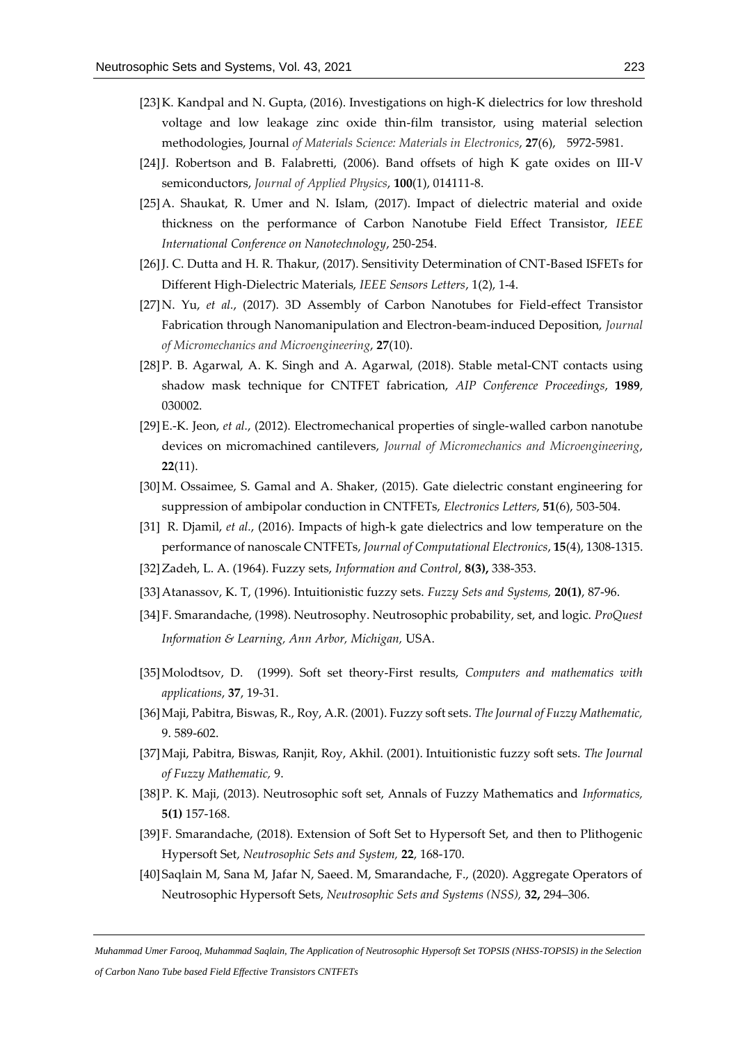- [23] K. Kandpal and N. Gupta, (2016). Investigations on high-K dielectrics for low threshold voltage and low leakage zinc oxide thin-film transistor, using material selection methodologies, Journal *of Materials Science: Materials in Electronics*, **27**(6), 5972-5981.
- [24]J. Robertson and B. Falabretti, (2006). Band offsets of high K gate oxides on III-V semiconductors, *Journal of Applied Physics*, **100**(1), 014111-8.
- [25]A. Shaukat, R. Umer and N. Islam, (2017). Impact of dielectric material and oxide thickness on the performance of Carbon Nanotube Field Effect Transistor, *IEEE International Conference on Nanotechnology*, 250-254.
- [26]J. C. Dutta and H. R. Thakur, (2017). Sensitivity Determination of CNT-Based ISFETs for Different High-Dielectric Materials, *IEEE Sensors Letters*, 1(2), 1-4.
- [27]N. Yu, *et al.*, (2017). 3D Assembly of Carbon Nanotubes for Field-effect Transistor Fabrication through Nanomanipulation and Electron-beam-induced Deposition, *Journal of Micromechanics and Microengineering*, **27**(10).
- [28]P. B. Agarwal, A. K. Singh and A. Agarwal, (2018). Stable metal-CNT contacts using shadow mask technique for CNTFET fabrication, *AIP Conference Proceedings*, **1989**, 030002.
- [29]E.-K. Jeon, *et al.*, (2012). Electromechanical properties of single-walled carbon nanotube devices on micromachined cantilevers, *Journal of Micromechanics and Microengineering*, **22**(11).
- [30]M. Ossaimee, S. Gamal and A. Shaker, (2015). Gate dielectric constant engineering for suppression of ambipolar conduction in CNTFETs, *Electronics Letters*, **51**(6), 503-504.
- [31] R. Djamil, *et al.*, (2016). Impacts of high-k gate dielectrics and low temperature on the performance of nanoscale CNTFETs, *Journal of Computational Electronics*, **15**(4), 1308-1315.
- [32]Zadeh, L. A. (1964). Fuzzy sets, *Information and Control*, **8(3),** 338-353.
- [33]Atanassov, K. T, (1996). Intuitionistic fuzzy sets. *Fuzzy Sets and Systems,* **20(1)**, 87-96.
- [34]F. Smarandache, (1998). Neutrosophy. Neutrosophic probability, set, and logic. *ProQuest Information & Learning, Ann Arbor, Michigan,* USA.
- [35]Molodtsov, D. (1999). Soft set theory-First results, *Computers and mathematics with applications*, **37**, 19-31.
- [36]Maji, Pabitra, Biswas, R., Roy, A.R. (2001). Fuzzy soft sets. *The Journal of Fuzzy Mathematic,* 9. 589-602.
- [37]Maji, Pabitra, Biswas, Ranjit, Roy, Akhil. (2001). Intuitionistic fuzzy soft sets. *The Journal of Fuzzy Mathematic,* 9.
- [38]P. K. Maji, (2013). Neutrosophic soft set, Annals of Fuzzy Mathematics and *Informatics,* **5(1)** 157-168.
- [39]F. Smarandache, (2018). Extension of Soft Set to Hypersoft Set, and then to Plithogenic Hypersoft Set, *Neutrosophic Sets and System,* **22**, 168-170.
- [40]Saqlain M, Sana M, Jafar N, Saeed. M, Smarandache, F., (2020). Aggregate Operators of Neutrosophic Hypersoft Sets, *Neutrosophic Sets and Systems (NSS),* **32,** 294–306.

*Muhammad Umer Farooq, Muhammad Saqlain, The Application of Neutrosophic Hypersoft Set TOPSIS (NHSS-TOPSIS) in the Selection of Carbon Nano Tube based Field Effective Transistors CNTFETs*